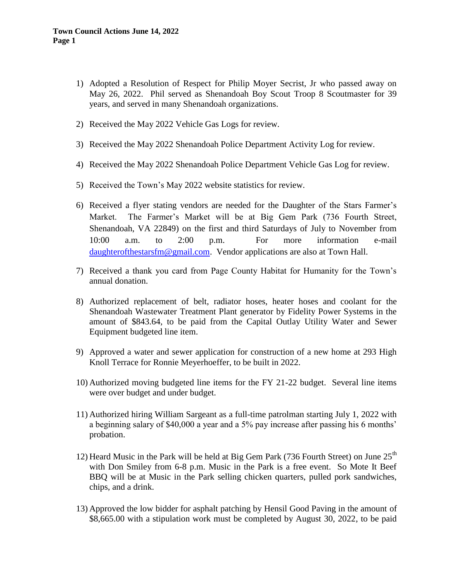- 1) Adopted a Resolution of Respect for Philip Moyer Secrist, Jr who passed away on May 26, 2022. Phil served as Shenandoah Boy Scout Troop 8 Scoutmaster for 39 years, and served in many Shenandoah organizations.
- 2) Received the May 2022 Vehicle Gas Logs for review.
- 3) Received the May 2022 Shenandoah Police Department Activity Log for review.
- 4) Received the May 2022 Shenandoah Police Department Vehicle Gas Log for review.
- 5) Received the Town's May 2022 website statistics for review.
- 6) Received a flyer stating vendors are needed for the Daughter of the Stars Farmer's Market. The Farmer's Market will be at Big Gem Park (736 Fourth Street, Shenandoah, VA 22849) on the first and third Saturdays of July to November from 10:00 a.m. to 2:00 p.m. For more information e-mail [daughterofthestarsfm@gmail.com.](mailto:daughterofthestarsfm@gmail.com) Vendor applications are also at Town Hall.
- 7) Received a thank you card from Page County Habitat for Humanity for the Town's annual donation.
- 8) Authorized replacement of belt, radiator hoses, heater hoses and coolant for the Shenandoah Wastewater Treatment Plant generator by Fidelity Power Systems in the amount of \$843.64, to be paid from the Capital Outlay Utility Water and Sewer Equipment budgeted line item.
- 9) Approved a water and sewer application for construction of a new home at 293 High Knoll Terrace for Ronnie Meyerhoeffer, to be built in 2022.
- 10) Authorized moving budgeted line items for the FY 21-22 budget. Several line items were over budget and under budget.
- 11) Authorized hiring William Sargeant as a full-time patrolman starting July 1, 2022 with a beginning salary of \$40,000 a year and a 5% pay increase after passing his 6 months' probation.
- 12) Heard Music in the Park will be held at Big Gem Park (736 Fourth Street) on June  $25<sup>th</sup>$ with Don Smiley from 6-8 p.m. Music in the Park is a free event. So Mote It Beef BBQ will be at Music in the Park selling chicken quarters, pulled pork sandwiches, chips, and a drink.
- 13) Approved the low bidder for asphalt patching by Hensil Good Paving in the amount of \$8,665.00 with a stipulation work must be completed by August 30, 2022, to be paid